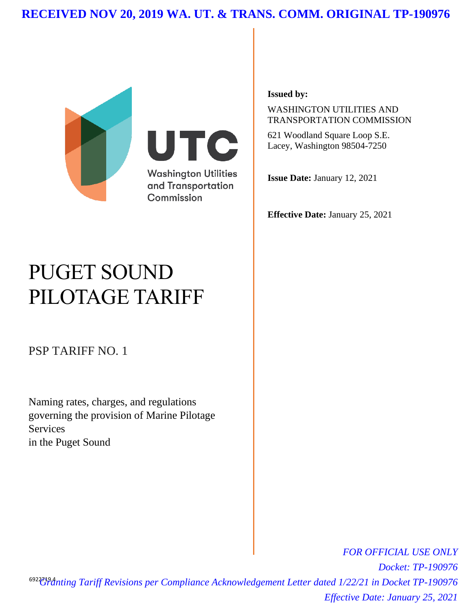

# PUGET SOUND PILOTAGE TARIFF

PSP TARIFF NO. 1

Naming rates, charges, and regulations governing the provision of Marine Pilotage Services in the Puget Sound

### **Issued by:**

WASHINGTON UTILITIES AND TRANSPORTATION COMMISSION

621 Woodland Square Loop S.E. Lacey, Washington 98504-7250

**Issue Date:** January 12, 2021

**Effective Date:** January 25, 2021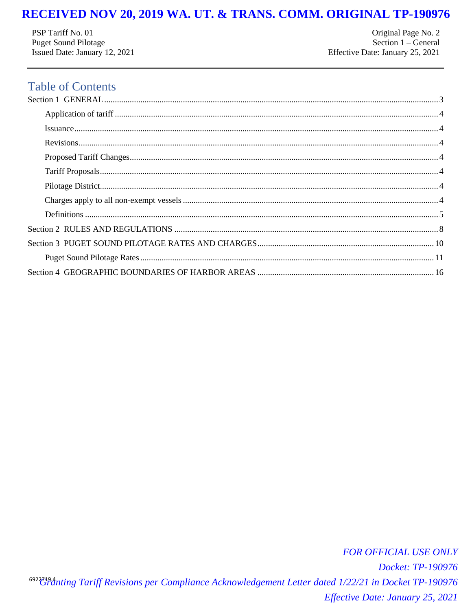PSP Tariff No. 01 **Puget Sound Pilotage** Issued Date: January 12, 2021

Original Page No. 2 Section 1 - General Effective Date: January 25, 2021

# **Table of Contents**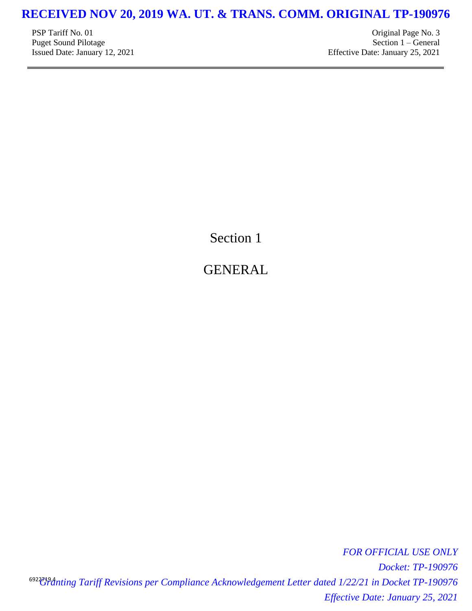PSP Tariff No. 01 Original Page No. 3

Puget Sound Pilotage Section 1 – General Issued Date: January 12, 2021 Effective Date: January 25, 2021

Section 1

<span id="page-2-0"></span>GENERAL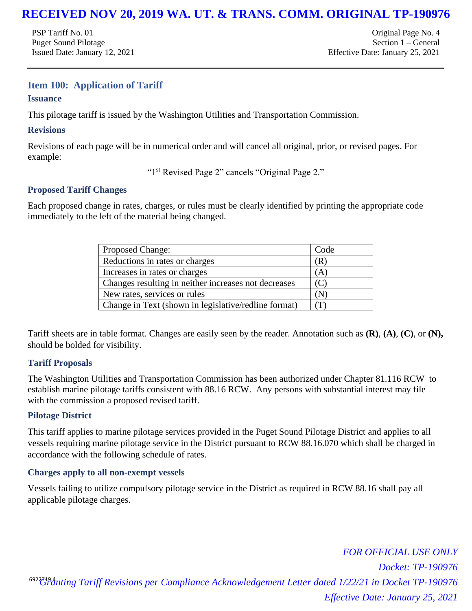PSP Tariff No. 01 Original Page No. 4 Puget Sound Pilotage Section 1 – General Section 1 – General Issued Date: January 12, 2021 Effective Date: January 25, 2021

### <span id="page-3-0"></span>**Item 100: Application of Tariff**

### <span id="page-3-1"></span>**Issuance**

This pilotage tariff is issued by the Washington Utilities and Transportation Commission.

### <span id="page-3-2"></span>**Revisions**

Revisions of each page will be in numerical order and will cancel all original, prior, or revised pages. For example:

"1st Revised Page 2" cancels "Original Page 2."

### <span id="page-3-3"></span>**Proposed Tariff Changes**

Each proposed change in rates, charges, or rules must be clearly identified by printing the appropriate code immediately to the left of the material being changed.

| <b>Proposed Change:</b>                              | Code |
|------------------------------------------------------|------|
| Reductions in rates or charges                       | (R)  |
| Increases in rates or charges                        | A    |
| Changes resulting in neither increases not decreases |      |
| New rates, services or rules                         | .N   |
| Change in Text (shown in legislative/redline format) |      |

Tariff sheets are in table format. Changes are easily seen by the reader. Annotation such as **(R)**, **(A)**, **(C)**, or **(N),** should be bolded for visibility.

### <span id="page-3-4"></span>**Tariff Proposals**

The Washington Utilities and Transportation Commission has been authorized under Chapter 81.116 RCW to establish marine pilotage tariffs consistent with 88.16 RCW. Any persons with substantial interest may file with the commission a proposed revised tariff.

### <span id="page-3-5"></span>**Pilotage District**

This tariff applies to marine pilotage services provided in the Puget Sound Pilotage District and applies to all vessels requiring marine pilotage service in the District pursuant to RCW 88.16.070 which shall be charged in accordance with the following schedule of rates.

### <span id="page-3-6"></span>**Charges apply to all non-exempt vessels**

Vessels failing to utilize compulsory pilotage service in the District as required in RCW 88.16 shall pay all applicable pilotage charges.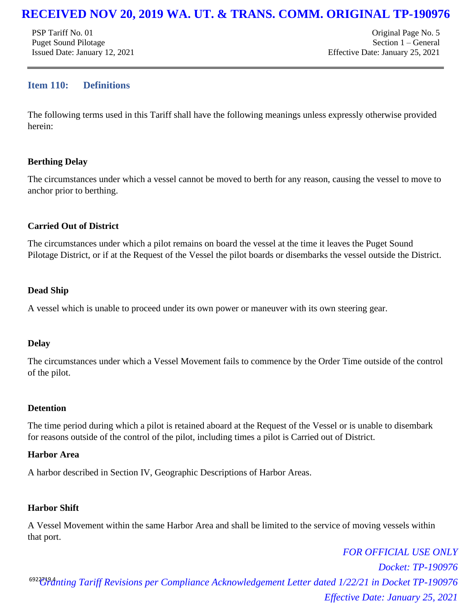PSP Tariff No. 01 Original Page No. 5

Puget Sound Pilotage Section 1 – General Section 1 – General Issued Date: January 12, 2021 Effective Date: January 25, 2021

### <span id="page-4-0"></span>**Item 110: Definitions**

The following terms used in this Tariff shall have the following meanings unless expressly otherwise provided herein:

### **Berthing Delay**

The circumstances under which a vessel cannot be moved to berth for any reason, causing the vessel to move to anchor prior to berthing.

### **Carried Out of District**

The circumstances under which a pilot remains on board the vessel at the time it leaves the Puget Sound Pilotage District, or if at the Request of the Vessel the pilot boards or disembarks the vessel outside the District.

### **Dead Ship**

A vessel which is unable to proceed under its own power or maneuver with its own steering gear.

### **Delay**

The circumstances under which a Vessel Movement fails to commence by the Order Time outside of the control of the pilot.

### **Detention**

The time period during which a pilot is retained aboard at the Request of the Vessel or is unable to disembark for reasons outside of the control of the pilot, including times a pilot is Carried out of District.

### **Harbor Area**

A harbor described in Section IV, Geographic Descriptions of Harbor Areas.

### **Harbor Shift**

A Vessel Movement within the same Harbor Area and shall be limited to the service of moving vessels within that port.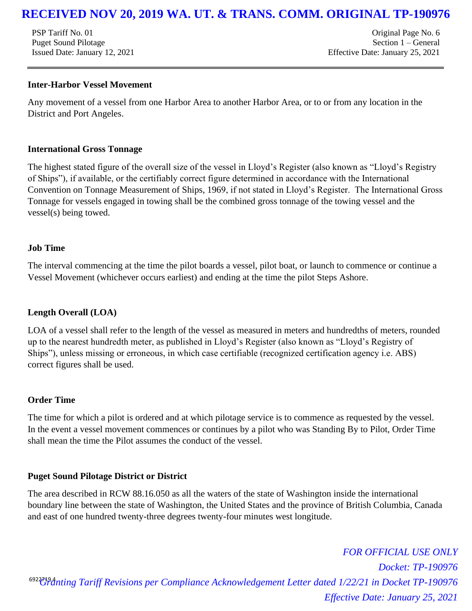PSP Tariff No. 01 Original Page No. 6

Puget Sound Pilotage Section 1 – General Section 1 – General Issued Date: January 12, 2021 Effective Date: January 25, 2021

### **Inter-Harbor Vessel Movement**

Any movement of a vessel from one Harbor Area to another Harbor Area, or to or from any location in the District and Port Angeles.

### **International Gross Tonnage**

The highest stated figure of the overall size of the vessel in Lloyd's Register (also known as "Lloyd's Registry of Ships"), if available, or the certifiably correct figure determined in accordance with the International Convention on Tonnage Measurement of Ships, 1969, if not stated in Lloyd's Register. The International Gross Tonnage for vessels engaged in towing shall be the combined gross tonnage of the towing vessel and the vessel(s) being towed.

### **Job Time**

The interval commencing at the time the pilot boards a vessel, pilot boat, or launch to commence or continue a Vessel Movement (whichever occurs earliest) and ending at the time the pilot Steps Ashore.

### **Length Overall (LOA)**

LOA of a vessel shall refer to the length of the vessel as measured in meters and hundredths of meters, rounded up to the nearest hundredth meter, as published in Lloyd's Register (also known as "Lloyd's Registry of Ships"), unless missing or erroneous, in which case certifiable (recognized certification agency i.e. ABS) correct figures shall be used.

### **Order Time**

The time for which a pilot is ordered and at which pilotage service is to commence as requested by the vessel. In the event a vessel movement commences or continues by a pilot who was Standing By to Pilot, Order Time shall mean the time the Pilot assumes the conduct of the vessel.

### **Puget Sound Pilotage District or District**

The area described in RCW 88.16.050 as all the waters of the state of Washington inside the international boundary line between the state of Washington, the United States and the province of British Columbia, Canada and east of one hundred twenty-three degrees twenty-four minutes west longitude.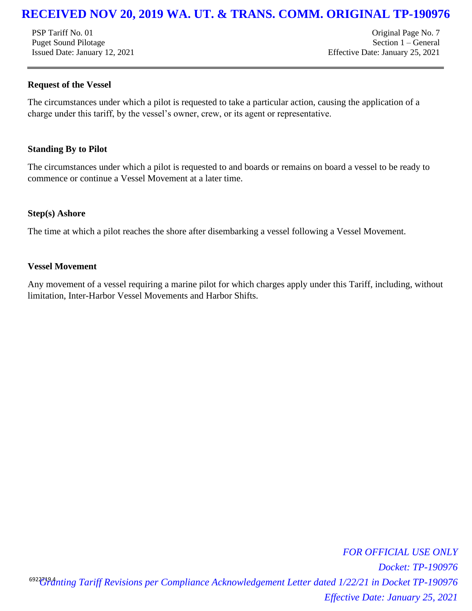PSP Tariff No. 01 Criginal Page No. 7

Puget Sound Pilotage Section 1 – General Issued Date: January 12, 2021 Effective Date: January 25, 2021

### **Request of the Vessel**

The circumstances under which a pilot is requested to take a particular action, causing the application of a charge under this tariff, by the vessel's owner, crew, or its agent or representative.

### **Standing By to Pilot**

The circumstances under which a pilot is requested to and boards or remains on board a vessel to be ready to commence or continue a Vessel Movement at a later time.

### **Step(s) Ashore**

The time at which a pilot reaches the shore after disembarking a vessel following a Vessel Movement.

### **Vessel Movement**

Any movement of a vessel requiring a marine pilot for which charges apply under this Tariff, including, without limitation, Inter-Harbor Vessel Movements and Harbor Shifts.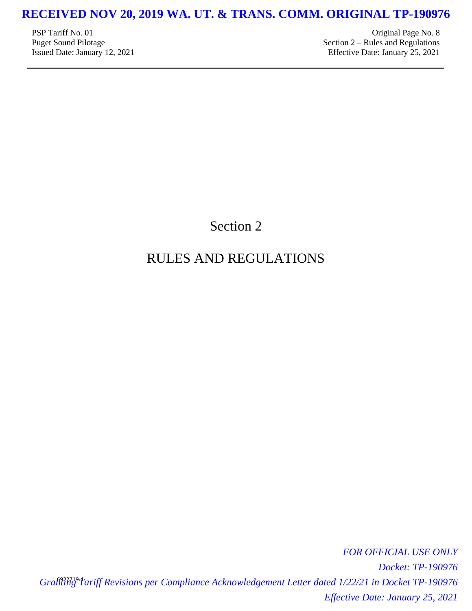PSP Tariff No. 01 Original Page No. 8

Puget Sound Pilotage Section 2 – Rules and Regulations Issued Date: January 12, 2021 Effective Date: January 25, 2021

Section 2

# <span id="page-7-0"></span>RULES AND REGULATIONS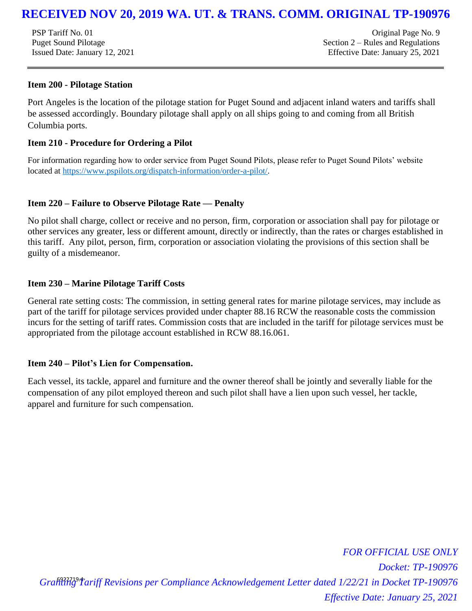PSP Tariff No. 01 Criginal Page No. 9 Puget Sound Pilotage Section 2 – Rules and Regulations Issued Date: January 12, 2021 Effective Date: January 25, 2021

### **Item 200 - Pilotage Station**

Port Angeles is the location of the pilotage station for Puget Sound and adjacent inland waters and tariffs shall be assessed accordingly. Boundary pilotage shall apply on all ships going to and coming from all British Columbia ports.

### **Item 210 - Procedure for Ordering a Pilot**

For information regarding how to order service from Puget Sound Pilots, please refer to Puget Sound Pilots' website located at [https://www.pspilots.org/dispatch-information/order-a-pilot/.](https://www.pspilots.org/dispatch-information/order-a-pilot/)

### **Item 220 – Failure to Observe Pilotage Rate — Penalty**

No pilot shall charge, collect or receive and no person, firm, corporation or association shall pay for pilotage or other services any greater, less or different amount, directly or indirectly, than the rates or charges established in this tariff. Any pilot, person, firm, corporation or association violating the provisions of this section shall be guilty of a misdemeanor.

### **Item 230 – Marine Pilotage Tariff Costs**

General rate setting costs: The commission, in setting general rates for marine pilotage services, may include as part of the tariff for pilotage services provided under chapter 88.16 RCW the reasonable costs the commission incurs for the setting of tariff rates. Commission costs that are included in the tariff for pilotage services must be appropriated from the pilotage account established in RCW 88.16.061.

### **Item 240 – Pilot's Lien for Compensation.**

Each vessel, its tackle, apparel and furniture and the owner thereof shall be jointly and severally liable for the compensation of any pilot employed thereon and such pilot shall have a lien upon such vessel, her tackle, apparel and furniture for such compensation.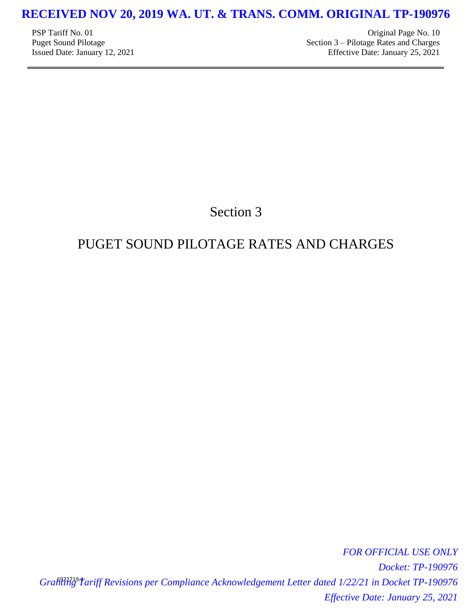PSP Tariff No. 01 Original Page No. 10 Puget Sound Pilotage Section 3 – Pilotage Rates and Charges Issued Date: January 12, 2021 Effective Date: January 25, 2021

Section 3

# <span id="page-9-0"></span>PUGET SOUND PILOTAGE RATES AND CHARGES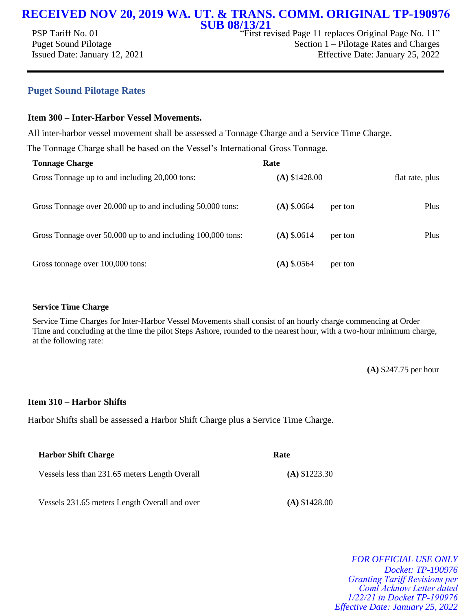PSP Tariff No. 01 "First revised Page 11 replaces Original Page No. 11" Puget Sound Pilotage Section 1 – Pilotage Rates and Charges Issued Date: January 12, 2021 Effective Date: January 25, 2022

### **Puget Sound Pilotage Rates**

### **Item 300 – Inter-Harbor Vessel Movements.**

All inter-harbor vessel movement shall be assessed a Tonnage Charge and a Service Time Charge.

The Tonnage Charge shall be based on the Vessel's International Gross Tonnage.

| <b>Tonnage Charge</b>                                       | Rate            |         |                 |
|-------------------------------------------------------------|-----------------|---------|-----------------|
| Gross Tonnage up to and including 20,000 tons:              | $(A)$ \$1428.00 |         | flat rate, plus |
| Gross Tonnage over 20,000 up to and including 50,000 tons:  | $(A)$ \$.0664   | per ton | Plus            |
| Gross Tonnage over 50,000 up to and including 100,000 tons: | $(A)$ \$.0614   | per ton | Plus            |
| Gross tonnage over 100,000 tons:                            | $(A)$ \$.0564   | per ton |                 |

#### **Service Time Charge**

Service Time Charges for Inter-Harbor Vessel Movements shall consist of an hourly charge commencing at Order Time and concluding at the time the pilot Steps Ashore, rounded to the nearest hour, with a two-hour minimum charge, at the following rate:

**(A)** \$247.75 per hour

### **Item 310 – Harbor Shifts**

Harbor Shifts shall be assessed a Harbor Shift Charge plus a Service Time Charge.

| <b>Harbor Shift Charge</b>                     | Rate            |  |
|------------------------------------------------|-----------------|--|
| Vessels less than 231.65 meters Length Overall | $(A)$ \$1223.30 |  |
| Vessels 231.65 meters Length Overall and over  | $(A)$ \$1428.00 |  |

*FOR OFFICIAL USE ONLY Docket: TP-190976 Granting Tariff Revisions per Coml Acknow Letter dated 1/22/21 in Docket TP-190976 Effective Date: January 25, 2022*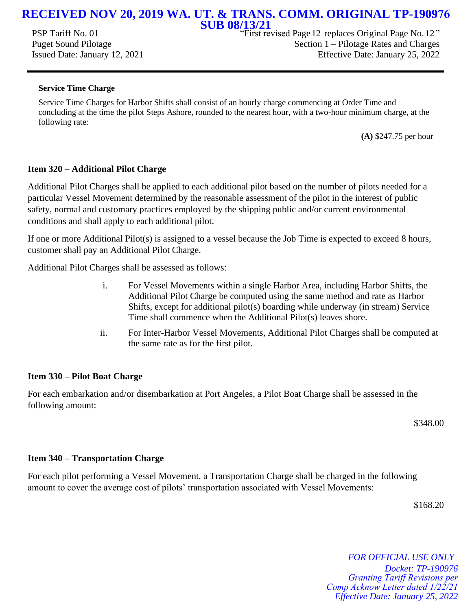PSP Tariff No. 01 "First revised Page 12 replaces Original Page No. 12" Puget Sound Pilotage Section 1 – Pilotage Rates and Charges Issued Date: January 12, 2021 Effective Date: January 25, 2022

#### **Service Time Charge**

Service Time Charges for Harbor Shifts shall consist of an hourly charge commencing at Order Time and concluding at the time the pilot Steps Ashore, rounded to the nearest hour, with a two-hour minimum charge, at the following rate:

**(A)** \$247.75 per hour

### **Item 320 – Additional Pilot Charge**

Additional Pilot Charges shall be applied to each additional pilot based on the number of pilots needed for a particular Vessel Movement determined by the reasonable assessment of the pilot in the interest of public safety, normal and customary practices employed by the shipping public and/or current environmental conditions and shall apply to each additional pilot.

If one or more Additional Pilot(s) is assigned to a vessel because the Job Time is expected to exceed 8 hours, customer shall pay an Additional Pilot Charge.

Additional Pilot Charges shall be assessed as follows:

- i. For Vessel Movements within a single Harbor Area, including Harbor Shifts, the Additional Pilot Charge be computed using the same method and rate as Harbor Shifts, except for additional pilot(s) boarding while underway (in stream) Service Time shall commence when the Additional Pilot(s) leaves shore.
- ii. For Inter-Harbor Vessel Movements, Additional Pilot Charges shall be computed at the same rate as for the first pilot.

### **Item 330 – Pilot Boat Charge**

For each embarkation and/or disembarkation at Port Angeles, a Pilot Boat Charge shall be assessed in the following amount:

\$348.00

### **Item 340 – Transportation Charge**

For each pilot performing a Vessel Movement, a Transportation Charge shall be charged in the following amount to cover the average cost of pilots' transportation associated with Vessel Movements:

\$168.20

*FOR OFFICIAL USE ONLY Docket: TP-190976 Granting Tariff Revisions per Comp Acknow Letter dated 1/22/21 Effective Date: January 25, 2022*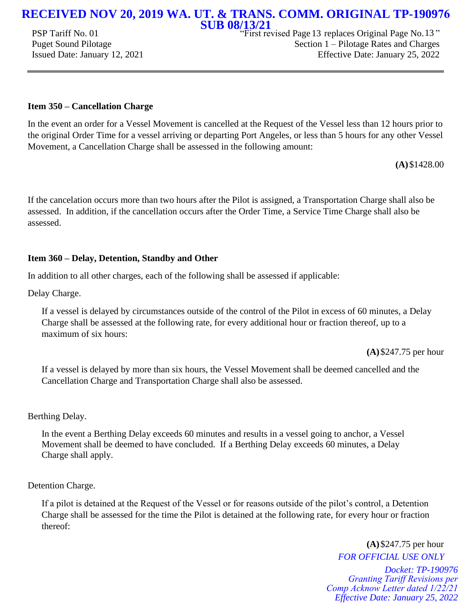PSP Tariff No. 01 <sup>"First</sup> revised Page 13 replaces Original Page No. 13" Puget Sound Pilotage Section 1 – Pilotage Rates and Charges Issued Date: January 12, 2021 Effective Date: January 25, 2022

### **Item 350 – Cancellation Charge**

In the event an order for a Vessel Movement is cancelled at the Request of the Vessel less than 12 hours prior to the original Order Time for a vessel arriving or departing Port Angeles, or less than 5 hours for any other Vessel Movement, a Cancellation Charge shall be assessed in the following amount:

**(A)**\$1428.00

If the cancelation occurs more than two hours after the Pilot is assigned, a Transportation Charge shall also be assessed. In addition, if the cancellation occurs after the Order Time, a Service Time Charge shall also be assessed.

### **Item 360 – Delay, Detention, Standby and Other**

In addition to all other charges, each of the following shall be assessed if applicable:

Delay Charge.

If a vessel is delayed by circumstances outside of the control of the Pilot in excess of 60 minutes, a Delay Charge shall be assessed at the following rate, for every additional hour or fraction thereof, up to a maximum of six hours:

**(A)**\$247.75 per hour

If a vessel is delayed by more than six hours, the Vessel Movement shall be deemed cancelled and the Cancellation Charge and Transportation Charge shall also be assessed.

Berthing Delay.

In the event a Berthing Delay exceeds 60 minutes and results in a vessel going to anchor, a Vessel Movement shall be deemed to have concluded. If a Berthing Delay exceeds 60 minutes, a Delay Charge shall apply.

Detention Charge.

If a pilot is detained at the Request of the Vessel or for reasons outside of the pilot's control, a Detention Charge shall be assessed for the time the Pilot is detained at the following rate, for every hour or fraction thereof:

> **(A)**\$247.75 per hour *FOR OFFICIAL USE ONLY Docket: TP-190976 Granting Tariff Revisions per Comp Acknow Letter dated 1/22/21 Effective Date: January 25, 2022*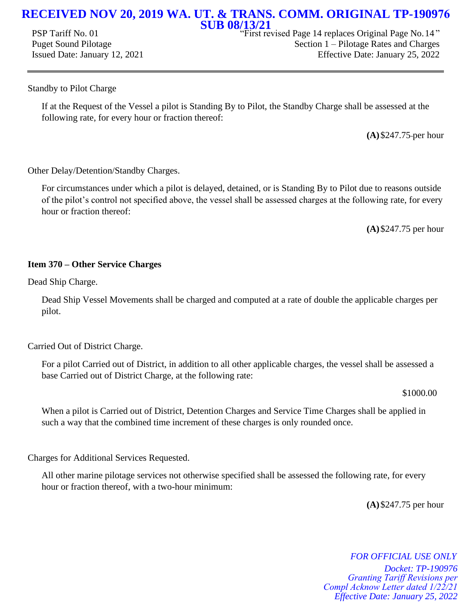PSP Tariff No. 01 "First revised Page 14 replaces Original Page No. 14" Puget Sound Pilotage Section 1 – Pilotage Rates and Charges Issued Date: January 12, 2021 Effective Date: January 25, 2022

### Standby to Pilot Charge

If at the Request of the Vessel a pilot is Standing By to Pilot, the Standby Charge shall be assessed at the following rate, for every hour or fraction thereof:

**(A)**\$247.75 per hour

Other Delay/Detention/Standby Charges.

For circumstances under which a pilot is delayed, detained, or is Standing By to Pilot due to reasons outside of the pilot's control not specified above, the vessel shall be assessed charges at the following rate, for every hour or fraction thereof:

**(A)**\$247.75 per hour

### **Item 370 – Other Service Charges**

Dead Ship Charge.

Dead Ship Vessel Movements shall be charged and computed at a rate of double the applicable charges per pilot.

Carried Out of District Charge.

For a pilot Carried out of District, in addition to all other applicable charges, the vessel shall be assessed a base Carried out of District Charge, at the following rate:

\$1000.00

When a pilot is Carried out of District, Detention Charges and Service Time Charges shall be applied in such a way that the combined time increment of these charges is only rounded once.

Charges for Additional Services Requested.

All other marine pilotage services not otherwise specified shall be assessed the following rate, for every hour or fraction thereof, with a two-hour minimum:

**(A)**\$247.75 per hour

*FOR OFFICIAL USE ONLY Docket: TP-190976 Granting Tariff Revisions per Compl Acknow Letter dated 1/22/21 Effective Date: January 25, 2022*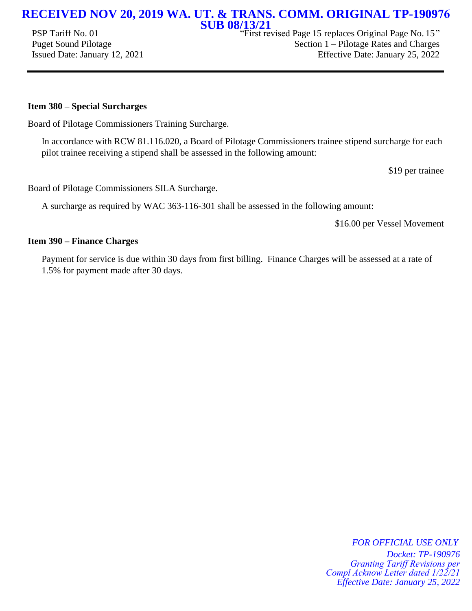PSP Tariff No. 01 <sup>"First</sup> revised Page 15 replaces Original Page No. 15" Puget Sound Pilotage Section 1 – Pilotage Rates and Charges Issued Date: January 12, 2021 Effective Date: January 25, 2022

### **Item 380 – Special Surcharges**

Board of Pilotage Commissioners Training Surcharge.

In accordance with RCW 81.116.020, a Board of Pilotage Commissioners trainee stipend surcharge for each pilot trainee receiving a stipend shall be assessed in the following amount:

\$19 per trainee

Board of Pilotage Commissioners SILA Surcharge.

A surcharge as required by WAC 363-116-301 shall be assessed in the following amount:

\$16.00 per Vessel Movement

### **Item 390 – Finance Charges**

Payment for service is due within 30 days from first billing. Finance Charges will be assessed at a rate of 1.5% for payment made after 30 days.

> *FOR OFFICIAL USE ONLY Docket: TP-190976 Granting Tariff Revisions per Compl Acknow Letter dated 1/22/21 Effective Date: January 25, 2022*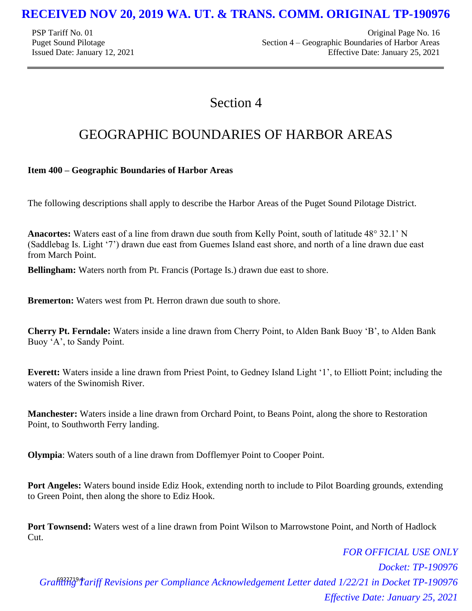PSP Tariff No. 01 Original Page No. 16 Puget Sound Pilotage Section 4 – Geographic Boundaries of Harbor Areas Issued Date: January 12, 2021 Effective Date: January 25, 2021

# Section 4

# <span id="page-15-0"></span>GEOGRAPHIC BOUNDARIES OF HARBOR AREAS

### **Item 400 – Geographic Boundaries of Harbor Areas**

The following descriptions shall apply to describe the Harbor Areas of the Puget Sound Pilotage District.

**Anacortes:** Waters east of a line from drawn due south from Kelly Point, south of latitude 48° 32.1' N (Saddlebag Is. Light '7') drawn due east from Guemes Island east shore, and north of a line drawn due east from March Point.

**Bellingham:** Waters north from Pt. Francis (Portage Is.) drawn due east to shore.

**Bremerton:** Waters west from Pt. Herron drawn due south to shore.

**Cherry Pt. Ferndale:** Waters inside a line drawn from Cherry Point, to Alden Bank Buoy 'B', to Alden Bank Buoy 'A', to Sandy Point.

**Everett:** Waters inside a line drawn from Priest Point, to Gedney Island Light '1', to Elliott Point; including the waters of the Swinomish River.

**Manchester:** Waters inside a line drawn from Orchard Point, to Beans Point, along the shore to Restoration Point, to Southworth Ferry landing.

**Olympia**: Waters south of a line drawn from Dofflemyer Point to Cooper Point.

**Port Angeles:** Waters bound inside Ediz Hook, extending north to include to Pilot Boarding grounds, extending to Green Point, then along the shore to Ediz Hook.

**Port Townsend:** Waters west of a line drawn from Point Wilson to Marrowstone Point, and North of Hadlock Cut.